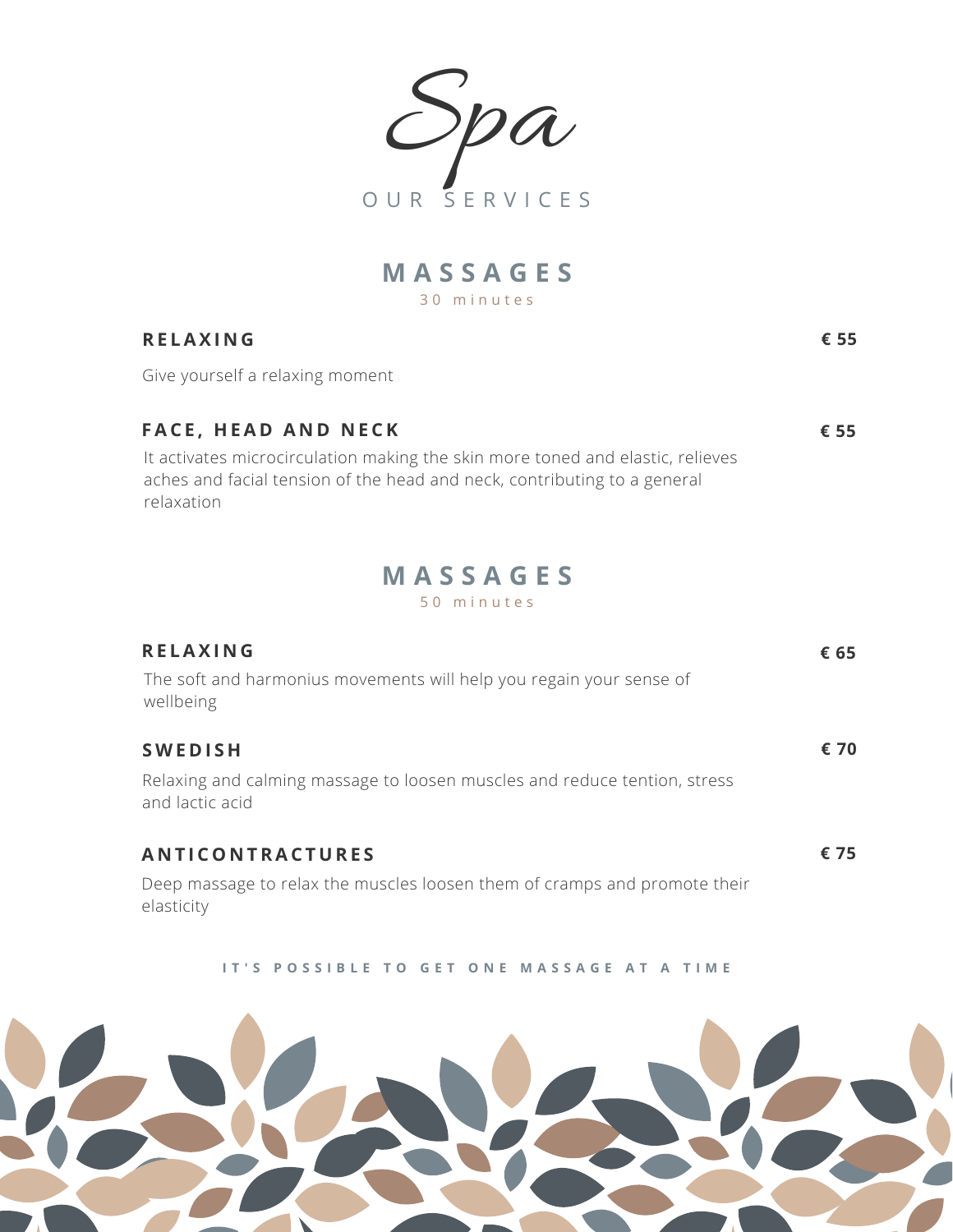,<br>Da O U R S E R V I C E S

3 0 m i n u t e s **M A S S A G E S**

## **R E LAX I N G**

Give yourself a relaxing moment

| <b>FACE, HEAD AND NECK</b>                                                     | € 55 |
|--------------------------------------------------------------------------------|------|
| It activates microcirculation making the skin more toned and elastic, relieves |      |
| aches and facial tension of the head and neck, contributing to a general       |      |
| relaxation                                                                     |      |

**€ 55**

## 5 0 m i n u t e s **M A S S A G E S**

| <b>RELAXING</b><br>The soft and harmonius movements will help you regain your sense of<br>wellbeing            | € 65 |
|----------------------------------------------------------------------------------------------------------------|------|
| <b>SWEDISH</b><br>Relaxing and calming massage to loosen muscles and reduce tention, stress<br>and lactic acid | € 70 |
| ANTICONTRACTURES<br>Deep massage to relax the muscles loosen them of cramps and promote their<br>elasticity    | € 75 |

IT'S POSSIBLE TO GET ONE MASSAGE AT A TIME